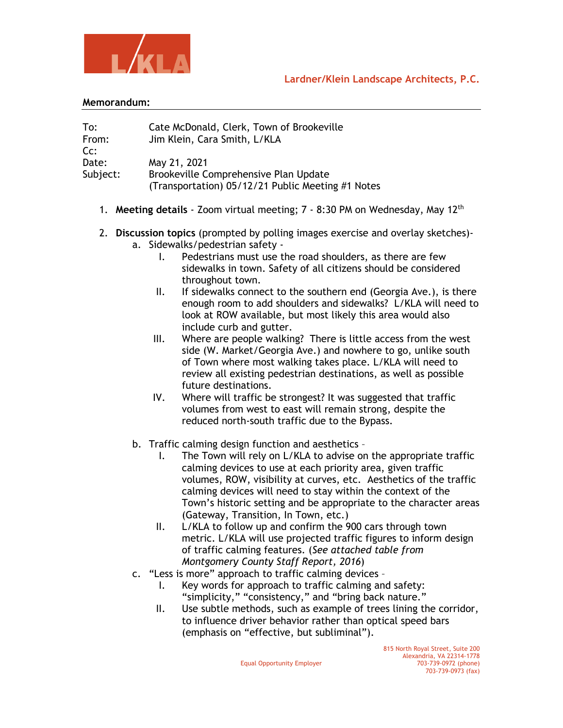



## **Memorandum:**

| To:      | Cate McDonald, Clerk, Town of Brookeville         |
|----------|---------------------------------------------------|
| From:    | Jim Klein, Cara Smith, L/KLA                      |
| Cc:      |                                                   |
| Date:    | May 21, 2021                                      |
| Subject: | Brookeville Comprehensive Plan Update             |
|          | (Transportation) 05/12/21 Public Meeting #1 Notes |

- 1. **Meeting details** Zoom virtual meeting; 7 8:30 PM on Wednesday, May 12th
- 2. **Discussion topics** (prompted by polling images exercise and overlay sketches) a. Sidewalks/pedestrian safety -
	- I. Pedestrians must use the road shoulders, as there are few sidewalks in town. Safety of all citizens should be considered throughout town.
	- II. If sidewalks connect to the southern end (Georgia Ave.), is there enough room to add shoulders and sidewalks? L/KLA will need to look at ROW available, but most likely this area would also include curb and gutter.
	- III. Where are people walking? There is little access from the west side (W. Market/Georgia Ave.) and nowhere to go, unlike south of Town where most walking takes place. L/KLA will need to review all existing pedestrian destinations, as well as possible future destinations.
	- IV. Where will traffic be strongest? It was suggested that traffic volumes from west to east will remain strong, despite the reduced north-south traffic due to the Bypass.
	- b. Traffic calming design function and aesthetics
		- I. The Town will rely on L/KLA to advise on the appropriate traffic calming devices to use at each priority area, given traffic volumes, ROW, visibility at curves, etc. Aesthetics of the traffic calming devices will need to stay within the context of the Town's historic setting and be appropriate to the character areas (Gateway, Transition, In Town, etc.)
		- II. L/KLA to follow up and confirm the 900 cars through town metric. L/KLA will use projected traffic figures to inform design of traffic calming features. (*See attached table from Montgomery County Staff Report, 2016*)
	- c. "Less is more" approach to traffic calming devices
		- I. Key words for approach to traffic calming and safety: "simplicity," "consistency," and "bring back nature."
		- II. Use subtle methods, such as example of trees lining the corridor, to influence driver behavior rather than optical speed bars (emphasis on "effective, but subliminal").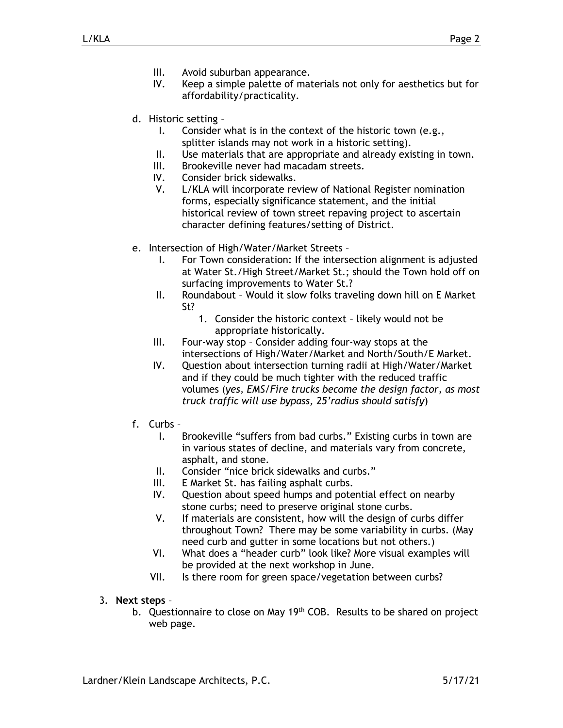- III. Avoid suburban appearance.
- IV. Keep a simple palette of materials not only for aesthetics but for affordability/practicality.
- d. Historic setting
	- I. Consider what is in the context of the historic town (e.g., splitter islands may not work in a historic setting).
	- II. Use materials that are appropriate and already existing in town.
	- III. Brookeville never had macadam streets.
	- IV. Consider brick sidewalks.
	- V. L/KLA will incorporate review of National Register nomination forms, especially significance statement, and the initial historical review of town street repaving project to ascertain character defining features/setting of District.
- e. Intersection of High/Water/Market Streets
	- I. For Town consideration: If the intersection alignment is adjusted at Water St./High Street/Market St.; should the Town hold off on surfacing improvements to Water St.?
	- II. Roundabout Would it slow folks traveling down hill on E Market St?
		- 1. Consider the historic context likely would not be appropriate historically.
	- III. Four-way stop Consider adding four-way stops at the intersections of High/Water/Market and North/South/E Market.
	- IV. Question about intersection turning radii at High/Water/Market and if they could be much tighter with the reduced traffic volumes (*yes, EMS/Fire trucks become the design factor, as most truck traffic will use bypass, 25'radius should satisfy*)
- f. Curbs
	- I. Brookeville "suffers from bad curbs." Existing curbs in town are in various states of decline, and materials vary from concrete, asphalt, and stone.
	- II. Consider "nice brick sidewalks and curbs."
	- III. E Market St. has failing asphalt curbs.
	- IV. Question about speed humps and potential effect on nearby stone curbs; need to preserve original stone curbs.
	- V. If materials are consistent, how will the design of curbs differ throughout Town? There may be some variability in curbs. (May need curb and gutter in some locations but not others.)
	- VI. What does a "header curb" look like? More visual examples will be provided at the next workshop in June.
	- VII. Is there room for green space/vegetation between curbs?
- 3. **Next steps**
	- b. Questionnaire to close on May 19<sup>th</sup> COB. Results to be shared on project web page.